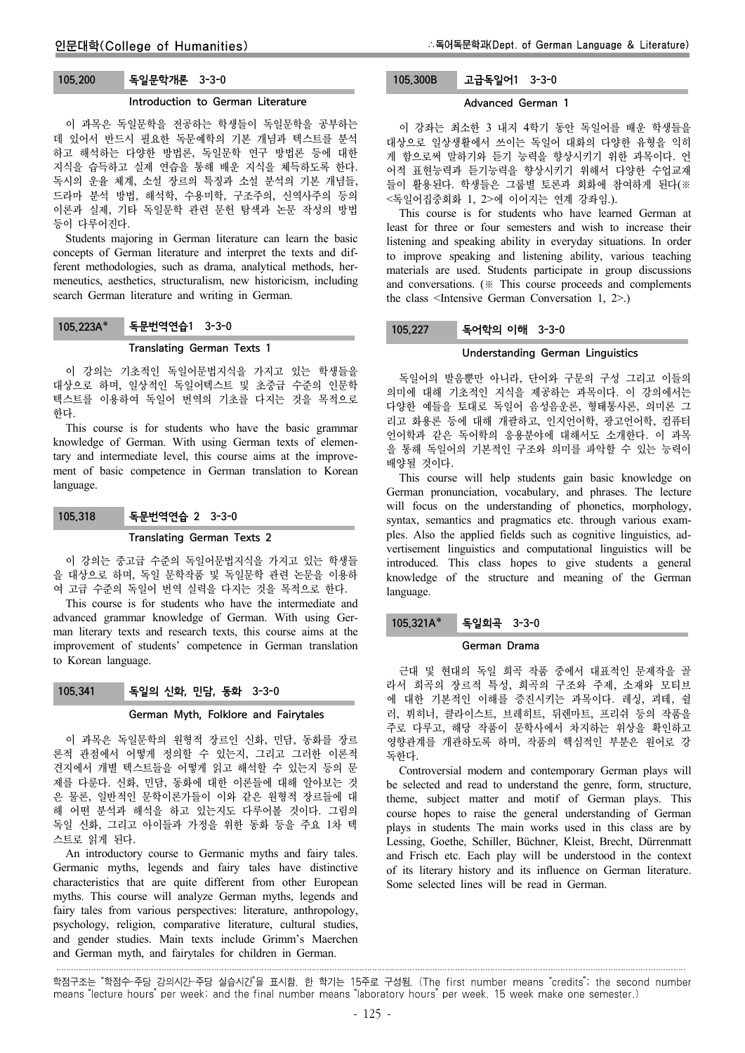### 105.200 독일문학개론 3-3-0

#### Introduction to German Literature

이 과목은 독일문학을 전공하는 학생들이 독일문학을 공부하는 데 있어서 반드시 필요한 독문예학의 기본 개념과 텍스트를 분석 하고 해석하는 다양한 방법론, 독일문학 연구 방법론 등에 대한 지식을 습득하고 실제 연습을 통해 배운 지식을 체득하도록 한다. 독시의 운율 체계, 소설 장르의 특징과 소설 분석의 기본 개념들, 드라마 분석 방법, 해석학, 수용미학, 구조주의, 신역사주의 등의 이론과 실제, 기타 독일문학 관련 문헌 탐색과 논문 작성의 방법 등이 다루어진다.

Students majoring in German literature can learn the basic concepts of German literature and interpret the texts and different methodologies, such as drama, analytical methods, hermeneutics, aesthetics, structuralism, new historicism, including search German literature and writing in German.

# 105.223A\* 독문번역연습1 3-3-0

### Translating German Texts 1

이 강의는 기초적인 독일어문법지식을 가지고 있는 학생들을 대상으로 하며, 일상적인 독일어텍스트 및 초중급 수준의 인문학 텍스트를 이용하여 독일어 번역의 기초를 다지는 것을 목적으로 한다.

This course is for students who have the basic grammar knowledge of German. With using German texts of elementary and intermediate level, this course aims at the improvement of basic competence in German translation to Korean language.

### 105.318 독문번역연습 2 3-3-0

#### Translating German Texts 2

이 강의는 중고급 수준의 독일어문법지식을 가지고 있는 학생들 을 대상으로 하며, 독일 문학작품 및 독일문학 관련 논문을 이용하 여 고급 수준의 독일어 번역 실력을 다지는 것을 목적으로 한다.

This course is for students who have the intermediate and advanced grammar knowledge of German. With using German literary texts and research texts, this course aims at the improvement of students' competence in German translation to Korean language.

#### 105.341 독일의 신화, 민담, 동화 3-3-0

#### German Myth, Folklore and Fairytales

이 과목은 독일문학의 원형적 장르인 신화, 민담, 동화를 장르 론적 관점에서 어떻게 정의할 수 있는지, 그리고 그러한 이론적 견지에서 개별 텍스트들을 어떻게 읽고 해석할 수 있는지 등의 문 제를 다룬다. 신화, 민담, 동화에 대한 이론들에 대해 알아보는 것 은 물론, 일반적인 문학이론가들이 이와 같은 원형적 장르들에 대 해 어떤 분석과 해석을 하고 있는지도 다루어볼 것이다. 그림의 독일 신화, 그리고 아이들과 가정을 위한 동화 등을 주요 1차 텍 스트로 읽게 된다.

An introductory course to Germanic myths and fairy tales. Germanic myths, legends and fairy tales have distinctive characteristics that are quite different from other European myths. This course will analyze German myths, legends and fairy tales from various perspectives: literature, anthropology, psychology, religion, comparative literature, cultural studies, and gender studies. Main texts include Grimm's Maerchen and German myth, and fairytales for children in German.

## 105.300B 고급독일어1 3-3-0

#### Advanced German 1

이 강좌는 최소한 3 내지 4학기 동안 독일어를 배운 학생들을 대상으로 일상생활에서 쓰이는 독일어 대화의 다양한 유형을 익히 게 함으로써 말하기와 듣기 능력을 향상시키기 위한 과목이다. 언 어적 표현능력과 듣기능력을 향상시키기 위해서 다양한 수업교재 들이 활용된다. 학생들은 그룹별 토론과 회화에 참여하게 된다(※ <독일어집중회화 1, 2>에 이어지는 연계 강좌임.).

This course is for students who have learned German at least for three or four semesters and wish to increase their listening and speaking ability in everyday situations. In order to improve speaking and listening ability, various teaching materials are used. Students participate in group discussions and conversations. (※ This course proceeds and complements the class <Intensive German Conversation 1, 2>.)

#### 105.227 독어학의 이해 3-3-0

#### Understanding German Linguistics

독일어의 발음뿐만 아니라, 단어와 구문의 구성 그리고 이들의 의미에 대해 기초적인 지식을 제공하는 과목이다. 이 강의에서는 다양한 예들을 토대로 독일어 음성음운론, 형태통사론, 의미론 그 리고 화용론 등에 대해 개괄하고, 인지언어학, 광고언어학, 컴퓨터 언어학과 같은 독어학의 응용분야에 대해서도 소개한다. 이 과목 을 통해 독일어의 기본적인 구조와 의미를 파악할 수 있는 능력이 배양될 것이다.

This course will help students gain basic knowledge on German pronunciation, vocabulary, and phrases. The lecture will focus on the understanding of phonetics, morphology, syntax, semantics and pragmatics etc. through various examples. Also the applied fields such as cognitive linguistics, advertisement linguistics and computational linguistics will be introduced. This class hopes to give students a general knowledge of the structure and meaning of the German language.

### 105.321A\* 독일회곡 3-3-0

#### German Drama

근대 및 현대의 독일 희곡 작품 중에서 대표적인 문제작을 골 라서 희곡의 장르적 특성, 희곡의 구조와 주제, 소재와 모티브 에 대한 기본적인 이해를 증진시키는 과목이다. 레싱, 괴테, 쉴 러, 뷔히너, 클라이스트, 브레히트, 뒤렌마트, 프리쉬 등의 작품을 주로 다루고, 해당 작품이 문학사에서 차지하는 위상을 확인하고 영향관계를 개관하도록 하며, 작품의 핵심적인 부분은 원어로 강 독한다.

Controversial modern and contemporary German plays will be selected and read to understand the genre, form, structure, theme, subject matter and motif of German plays. This course hopes to raise the general understanding of German plays in students The main works used in this class are by Lessing, Goethe, Schiller, Büchner, Kleist, Brecht, Dürrenmatt and Frisch etc. Each play will be understood in the context of its literary history and its influence on German literature. Some selected lines will be read in German.

학점구조는 "학점수-주당 강의시간-주당 실습시간"을 표시함. 한 학기는 15주로 구성됨. (The first number means "credits"; the second number means "lecture hours" per week; and the final number means "laboratory hours" per week. 15 week make one semester.)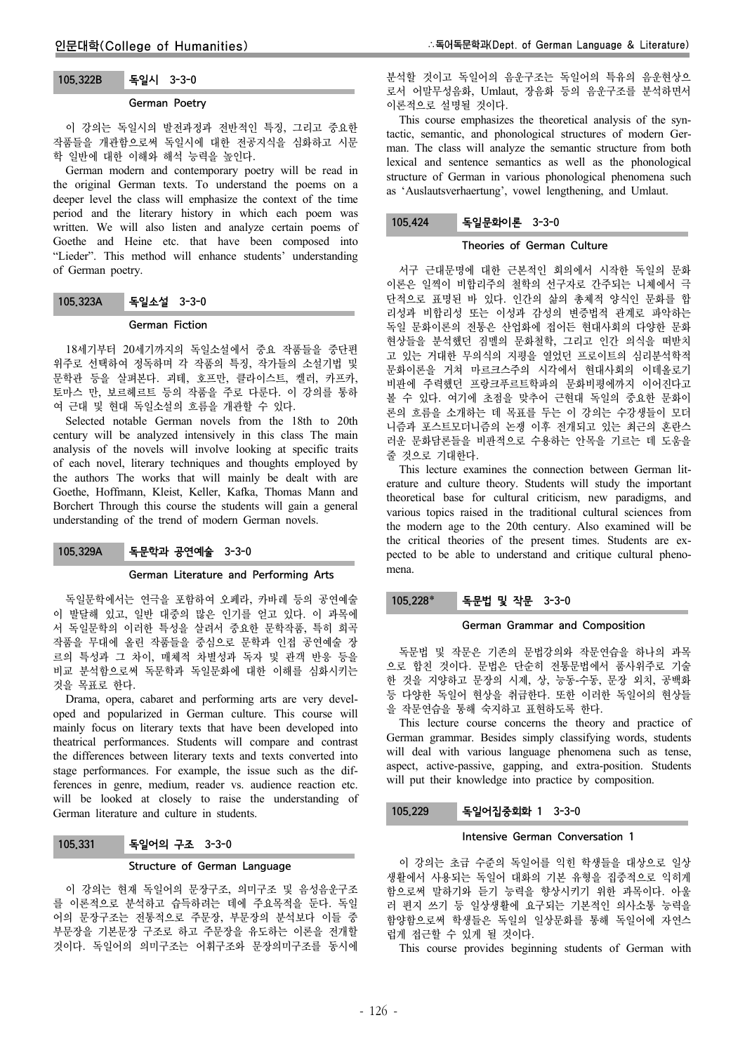### 105.322B 독일시 3-3-0

#### German Poetry

이 강의는 독일시의 발전과정과 전반적인 특징, 그리고 중요한 작품들을 개관함으로써 독일시에 대한 전공지식을 심화하고 시문 학 일반에 대한 이해와 해석 능력을 높인다.

German modern and contemporary poetry will be read in the original German texts. To understand the poems on a deeper level the class will emphasize the context of the time period and the literary history in which each poem was written. We will also listen and analyze certain poems of Goethe and Heine etc. that have been composed into "Lieder". This method will enhance students' understanding of German poetry.

### 105.323A 독일소설 3-3-0

#### German Fiction

18세기부터 20세기까지의 독일소설에서 중요 작품들을 중단편 위주로 선택하여 정독하며 각 작품의 특징, 작가들의 소설기법 및 문학관 등을 살펴본다. 괴테, 호프만, 클라이스트, 켈러, 카프카, 토마스 만, 보르헤르트 등의 작품을 주로 다룬다. 이 강의를 통하 여 근대 및 현대 독일소설의 흐름을 개관할 수 있다.

Selected notable German novels from the 18th to 20th century will be analyzed intensively in this class The main analysis of the novels will involve looking at specific traits of each novel, literary techniques and thoughts employed by the authors The works that will mainly be dealt with are Goethe, Hoffmann, Kleist, Keller, Kafka, Thomas Mann and Borchert Through this course the students will gain a general understanding of the trend of modern German novels.

### 105.329A 독문학과 공연예술 3-3-0

#### German Literature and Performing Arts

독일문학에서는 연극을 포함하여 오페라, 카바레 등의 공연예술 이 발달해 있고, 일반 대중의 많은 인기를 얻고 있다. 이 과목에 서 독일문학의 이러한 특성을 살려서 중요한 문학작품, 특히 희곡 작품을 무대에 올린 작품들을 중심으로 문학과 인접 공연예술 장 르의 특성과 그 차이, 매체적 차별성과 독자 및 관객 반응 등을 비교 분석함으로써 독문학과 독일문화에 대한 이해를 심화시키는 것을 목표로 한다.

Drama, opera, cabaret and performing arts are very developed and popularized in German culture. This course will mainly focus on literary texts that have been developed into theatrical performances. Students will compare and contrast the differences between literary texts and texts converted into stage performances. For example, the issue such as the differences in genre, medium, reader vs. audience reaction etc. will be looked at closely to raise the understanding of German literature and culture in students.

### 105.331 독일어의 구조 3-3-0

#### Structure of German Language

이 강의는 현재 독일어의 문장구조, 의미구조 및 음성음운구조 를 이론적으로 분석하고 습득하려는 데에 주요목적을 둔다. 독일 어의 문장구조는 전통적으로 주문장, 부문장의 분석보다 이들 중 부문장을 기본문장 구조로 하고 주문장을 유도하는 이론을 전개할 것이다. 독일어의 의미구조는 어휘구조와 문장의미구조를 동시에

분석할 것이고 독일어의 음운구조는 독일어의 특유의 음운현상으 로서 어말무성음화, Umlaut, 장음화 등의 음운구조를 분석하면서 이론적으로 설명될 것이다.

This course emphasizes the theoretical analysis of the syntactic, semantic, and phonological structures of modern German. The class will analyze the semantic structure from both lexical and sentence semantics as well as the phonological structure of German in various phonological phenomena such as 'Auslautsverhaertung', vowel lengthening, and Umlaut.

### 105.424 독일문화이론 3-3-0

#### Theories of German Culture

서구 근대문명에 대한 근본적인 회의에서 시작한 독일의 문화 이론은 일찍이 비합리주의 철학의 선구자로 간주되는 니체에서 극 단적으로 표명된 바 있다. 인간의 삶의 총체적 양식인 문화를 합 리성과 비합리성 또는 이성과 감성의 변증법적 관계로 파악하는 독일 문화이론의 전통은 산업화에 접어든 현대사회의 다양한 문화 현상들을 분석했던 짐멜의 문화철학, 그리고 인간 의식을 떠받치 고 있는 거대한 무의식의 지평을 열었던 프로이트의 심리분석학적 문화이론을 거쳐 마르크스주의 시각에서 현대사회의 이데올로기 비판에 주력했던 프랑크푸르트학파의 문화비평에까지 이어진다고 볼 수 있다. 여기에 초점을 맞추어 근현대 독일의 중요한 문화이 론의 흐름을 소개하는 데 목표를 두는 이 강의는 수강생들이 모더 니즘과 포스트모더니즘의 논쟁 이후 전개되고 있는 최근의 혼란스 러운 문화담론들을 비판적으로 수용하는 안목을 기르는 데 도움을 줄 것으로 기대한다.

This lecture examines the connection between German literature and culture theory. Students will study the important theoretical base for cultural criticism, new paradigms, and various topics raised in the traditional cultural sciences from the modern age to the 20th century. Also examined will be the critical theories of the present times. Students are expected to be able to understand and critique cultural phenomena.

### 105.228 독문법 및 작문 3-3-0

#### German Grammar and Composition

독문법 및 작문은 기존의 문법강의와 작문연습을 하나의 과목 으로 합친 것이다. 문법은 단순히 전통문법에서 품사위주로 기술 한 것을 지양하고 문장의 시제, 상, 능동-수동, 문장 외치, 공백화 등 다양한 독일어 현상을 취급한다. 또한 이러한 독일어의 현상들 을 작문연습을 통해 숙지하고 표현하도록 한다.

This lecture course concerns the theory and practice of German grammar. Besides simply classifying words, students will deal with various language phenomena such as tense, aspect, active-passive, gapping, and extra-position. Students will put their knowledge into practice by composition.

#### 105.229 독일어집중회화 1 3-3-0

#### Intensive German Conversation 1

이 강의는 초급 수준의 독일어를 익힌 학생들을 대상으로 일상 생활에서 사용되는 독일어 대화의 기본 유형을 집중적으로 익히게 함으로써 말하기와 듣기 능력을 향상시키기 위한 과목이다. 아울 러 편지 쓰기 등 일상생활에 요구되는 기본적인 의사소통 능력을 함양함으로써 학생들은 독일의 일상문화를 통해 독일어에 자연스 럽게 접근할 수 있게 될 것이다.

This course provides beginning students of German with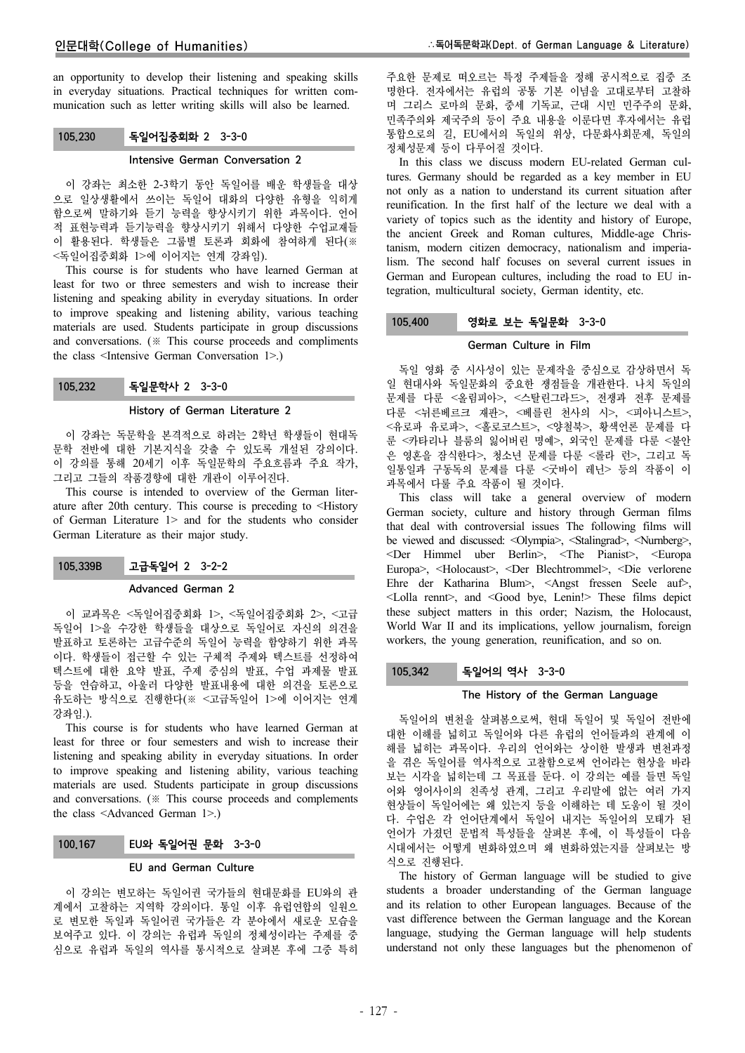an opportunity to develop their listening and speaking skills in everyday situations. Practical techniques for written communication such as letter writing skills will also be learned.

### 105.230 독일어집중회화 2 3-3-0

#### Intensive German Conversation 2

이 강좌는 최소한 2-3학기 동안 독일어를 배운 학생들을 대상 으로 일상생활에서 쓰이는 독일어 대화의 다양한 유형을 익히게 함으로써 말하기와 듣기 능력을 향상시키기 위한 과목이다. 언어 적 표현능력과 듣기능력을 향상시키기 위해서 다양한 수업교재들 이 활용된다. 학생들은 그룹별 토론과 회화에 참여하게 된다(※ <독일어집중회화 1>에 이어지는 연계 강좌임).

This course is for students who have learned German at least for two or three semesters and wish to increase their listening and speaking ability in everyday situations. In order to improve speaking and listening ability, various teaching materials are used. Students participate in group discussions and conversations. (※ This course proceeds and compliments the class <Intensive German Conversation 1>.)

### 105.232 독일문학사 2 3-3-0

#### History of German Literature 2

이 강좌는 독문학을 본격적으로 하려는 2학년 학생들이 현대독 문학 전반에 대한 기본지식을 갖출 수 있도록 개설된 강의이다. 이 강의를 통해 20세기 이후 독일문학의 주요흐름과 주요 작가, 그리고 그들의 작품경향에 대한 개관이 이루어진다.

This course is intended to overview of the German literature after 20th century. This course is preceding to <History of German Literature 1> and for the students who consider German Literature as their major study.

### 105.339B 고급독일어 2 3-2-2

#### Advanced German 2

이 교과목은 <독일어집중회화 1>, <독일어집중회화 2>, <고급 독일어 1>을 수강한 학생들을 대상으로 독일어로 자신의 의견을 발표하고 토론하는 고급수준의 독일어 능력을 함양하기 위한 과목 이다. 학생들이 접근할 수 있는 구체적 주제와 텍스트를 선정하여 텍스트에 대한 요약 발표, 주제 중심의 발표, 수업 과제물 발표 등을 연습하고, 아울러 다양한 발표내용에 대한 의견을 토론으로 유도하는 방식으로 진행한다(※ <고급독일어 1>에 이어지는 연계 강좌임.).

This course is for students who have learned German at least for three or four semesters and wish to increase their listening and speaking ability in everyday situations. In order to improve speaking and listening ability, various teaching materials are used. Students participate in group discussions and conversations. (※ This course proceeds and complements the class <Advanced German 1>.)

#### 100.167 EU와 독일어권 문화 3-3-0

### EU and German Culture

이 강의는 변모하는 독일어권 국가들의 현대문화를 EU와의 관 계에서 고찰하는 지역학 강의이다. 통일 이후 유럽연합의 일원으 로 변모한 독일과 독일어권 국가들은 각 분야에서 새로운 모습을 보여주고 있다. 이 강의는 유럽과 독일의 정체성이라는 주제를 중 심으로 유럽과 독일의 역사를 통시적으로 살펴본 후에 그중 특히 주요한 문제로 떠오르는 특정 주제들을 정해 공시적으로 집중 조 명한다. 전자에서는 유럽의 공통 기본 이념을 고대로부터 고찰하 며 그리스 로마의 문화, 중세 기독교, 근대 시민 민주주의 문화, 민족주의와 제국주의 등이 주요 내용을 이룬다면 후자에서는 유럽 통합으로의 길, EU에서의 독일의 위상, 다문화사회문제, 독일의 정체성문제 등이 다루어질 것이다.

In this class we discuss modern EU-related German cultures. Germany should be regarded as a key member in EU not only as a nation to understand its current situation after reunification. In the first half of the lecture we deal with a variety of topics such as the identity and history of Europe, the ancient Greek and Roman cultures, Middle-age Christanism, modern citizen democracy, nationalism and imperialism. The second half focuses on several current issues in German and European cultures, including the road to EU integration, multicultural society, German identity, etc.

### 105.400 영화로 보는 독일문화 3-3-0

### German Culture in Film

독일 영화 중 시사성이 있는 문제작을 중심으로 감상하면서 독 일 현대사와 독일문화의 중요한 쟁점들을 개관한다. 나치 독일의 문제를 다룬 <올림피아>, <스탈린그라드>, 전쟁과 전후 문제를 다룬 <뉘른베르크 재판>, <베를린 천사의 시>, <피아니스트>, <유로파 유로파>, <홀로코스트>, <양철북>, 황색언론 문제를 다 룬 <카타리나 블룸의 잃어버린 명예>, 외국인 문제를 다룬 <불안 은 영혼을 잠식한다>, 청소년 문제를 다룬 <롤라 런>, 그리고 독 일통일과 구동독의 문제를 다룬 <굿바이 레닌> 등의 작품이 이 과목에서 다룰 주요 작품이 될 것이다.

This class will take a general overview of modern German society, culture and history through German films that deal with controversial issues The following films will be viewed and discussed: <Olympia>, <Stalingrad>, <Nurnberg>, <Der Himmel uber Berlin>, <The Pianist>, <Europa Europa>, <Holocaust>, <Der Blechtrommel>, <Die verlorene Ehre der Katharina Blum>, <Angst fressen Seele auf>, <Lolla rennt>, and <Good bye, Lenin!> These films depict these subject matters in this order; Nazism, the Holocaust, World War II and its implications, yellow journalism, foreign workers, the young generation, reunification, and so on.

#### 105.342 독일어의 역사 3-3-0

#### The History of the German Language

독일어의 변천을 살펴봄으로써, 현대 독일어 및 독일어 전반에 대한 이해를 넓히고 독일어와 다른 유럽의 언어들과의 관계에 이 해를 넓히는 과목이다. 우리의 언어와는 상이한 발생과 변천과정 을 겪은 독일어를 역사적으로 고찰함으로써 언어라는 현상을 바라 보는 시각을 넓히는데 그 목표를 둔다. 이 강의는 예를 들면 독일 어와 영어사이의 친족성 관계, 그리고 우리말에 없는 여러 가지 현상들이 독일어에는 왜 있는지 등을 이해하는 데 도움이 될 것이 다. 수업은 각 언어단계에서 독일어 내지는 독일어의 모태가 된 언어가 가졌던 문법적 특성들을 살펴본 후에, 이 특성들이 다음 시대에서는 어떻게 변화하였으며 왜 변화하였는지를 살펴보는 방 식으로 진행된다.

The history of German language will be studied to give students a broader understanding of the German language and its relation to other European languages. Because of the vast difference between the German language and the Korean language, studying the German language will help students understand not only these languages but the phenomenon of